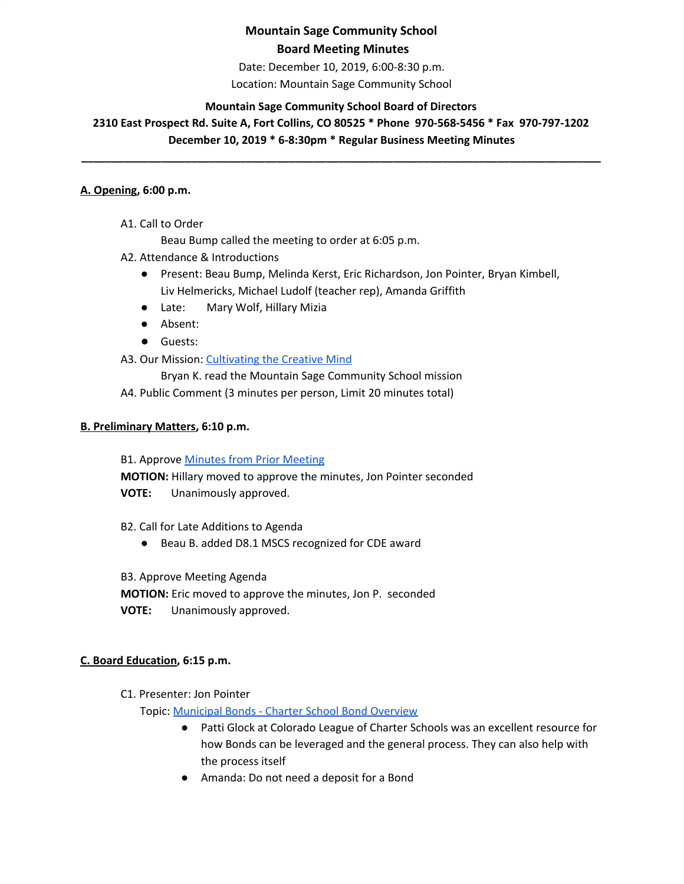Date: December 10, 2019, 6:00-8:30 p.m. Location: Mountain Sage Community School

## **Mountain Sage Community School Board of Directors**

# **2310 East Prospect Rd. Suite A, Fort Collins, CO 80525 \* Phone 970-568-5456 \* Fax 970-797-1202 December 10, 2019 \* 6-8:30pm \* Regular Business Meeting Minutes**

**\_\_\_\_\_\_\_\_\_\_\_\_\_\_\_\_\_\_\_\_\_\_\_\_\_\_\_\_\_\_\_\_\_\_\_\_\_\_\_\_\_\_\_\_\_\_\_\_\_\_\_\_\_\_\_\_\_\_\_\_\_\_\_\_\_\_\_\_\_\_\_\_\_\_\_\_\_\_\_\_\_\_\_\_\_**

#### **A. Opening, 6:00 p.m.**

A1. Call to Order

Beau Bump called the meeting to order at 6:05 p.m.

- A2. Attendance & Introductions
	- Present: Beau Bump, Melinda Kerst, Eric Richardson, Jon Pointer, Bryan Kimbell, Liv Helmericks, Michael Ludolf (teacher rep), Amanda Griffith
	- Late: Mary Wolf, Hillary Mizia
	- Absent:
	- Guests:
- A3. Our Mission: [Cultivating](http://www.mountainsage.org/mission-and-vision.html) the Creative Mind

Bryan K. read the Mountain Sage Community School mission

A4. Public Comment (3 minutes per person, Limit 20 minutes total)

## **B. Preliminary Matters, 6:10 p.m.**

**B1. Approve Minutes from Prior [Meeting](https://drive.google.com/file/d/1ylOsPWRBUEe4UmZ_ghWS5qJzH7qOSq_2/view?usp=sharing)** 

**MOTION:** Hillary moved to approve the minutes, Jon Pointer seconded **VOTE:** Unanimously approved.

- B2. Call for Late Additions to Agenda
	- Beau B. added D8.1 MSCS recognized for CDE award

B3. Approve Meeting Agenda

**MOTION:** Eric moved to approve the minutes, Jon P. seconded

**VOTE:** Unanimously approved.

## **C. Board Education, 6:15 p.m.**

C1. Presenter: Jon Pointer

Topic: [Municipal](https://drive.google.com/open?id=1DvTqXNQrXYNGprXlGPGJTv42RLpK_-Yl) Bonds - Charter School Bond Overview

- Patti Glock at Colorado League of Charter Schools was an excellent resource for how Bonds can be leveraged and the general process. They can also help with the process itself
- Amanda: Do not need a deposit for a Bond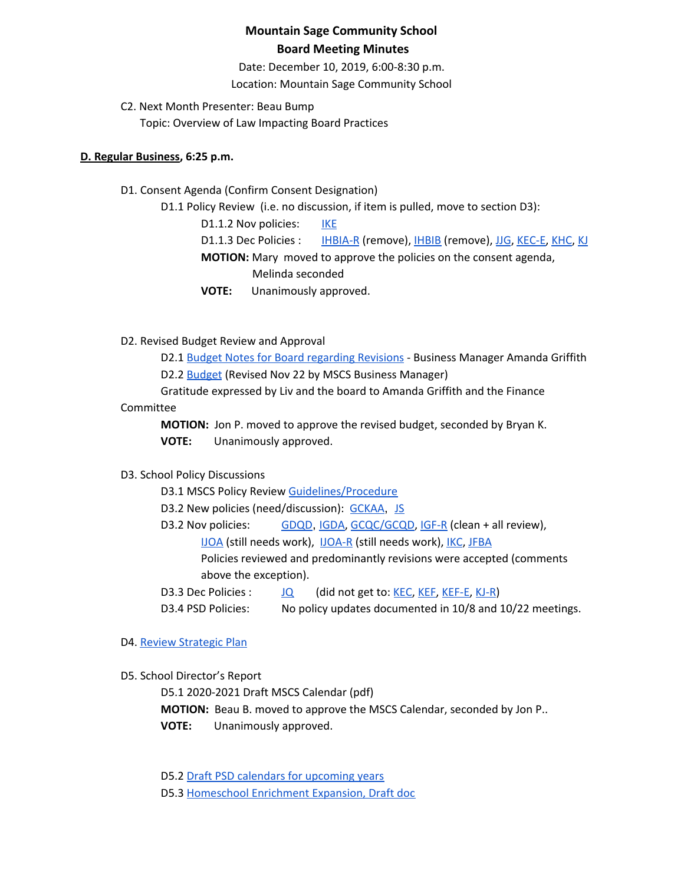Date: December 10, 2019, 6:00-8:30 p.m. Location: Mountain Sage Community School

C2. Next Month Presenter: Beau Bump Topic: Overview of Law Impacting Board Practices

#### **D. Regular Business, 6:25 p.m.**

D1. Consent Agenda (Confirm Consent Designation)

D1.1 Policy Review (i.e. no discussion, if item is pulled, move to section D3):

D1.1.2 Nov policies: [IKE](https://drive.google.com/open?id=1I3D9PZVQfAxLNnHPvh6lJbelu0b2F11KL5qVag1aSuo)

D1.1.3 Dec Policies : [IHBIA-R](https://docs.google.com/document/d/1JRkdkYWq7uaLIitD7G1WfFAfpVbhHGkTMyxxicz7u6s) (remove), [IHBIB](https://docs.google.com/document/d/1Zz1OFZCVyJdwitGBMUUujm6x19cMgFdUDZ5IUHliViQ) (remove), [JJG,](https://drive.google.com/open?id=1hksktTEx_XBmC49HSQvtHLIZNv89QglWCcCpdSE2tXo) [KEC-E,](https://drive.google.com/open?id=13WeIgPh5RUYm-Ya6XARAHpn0dXkEOy7EcM0RxEOf-Rs) [KHC](https://drive.google.com/open?id=1UKzxW5Cw0PCMIPfKCc090xDouTwKFZUvrymaAmziVUI), [KJ](https://drive.google.com/open?id=1nnaJnUOI03goqRYWhziJRp1PN9WvoA663_CNOTQSudE)

**MOTION:** Mary moved to approve the policies on the consent agenda,

Melinda seconded

**VOTE:** Unanimously approved.

D2. Revised Budget Review and Approval

D2.1 Budget Notes for Board [regarding](https://docs.google.com/document/d/10iaPKQOwwQmp8n_vfa5C-ixRe8CdHVFXBTyu0IH68hM/edit?usp=sharing) Revisions - Business Manager Amanda Griffith D2.2 **[Budget](https://drive.google.com/file/d/0BwYnvoGpYgfKQWdYLVJqeEtHYXJTaXJxTVR1RUlfaURueDZJ/view?usp=sharing) (Revised Nov 22 by MSCS Business Manager)** 

Gratitude expressed by Liv and the board to Amanda Griffith and the Finance

#### Committee

**MOTION:** Jon P. moved to approve the revised budget, seconded by Bryan K.

**VOTE:** Unanimously approved.

## D3. School Policy Discussions

D3.1 MSCS Policy Review [Guidelines/Procedure](https://docs.google.com/document/d/1u8ShOV3kEX192OtZtSJ3ZH9IY_M6MqVyaK5HLtCC2dI/edit?usp=sharing)

D3.2 New policies (need/discussion): [GCKAA](https://docs.google.com/document/d/1Merv1El9rhyfwYMXGs8uSGLrXBBh4bO79vgPTclIKW4/edit?usp=sharing), [JS](https://docs.google.com/document/d/1rf5GBWs-YOgZhMLOzJxPMH3JRSSvb52K1Sytz0KNBiU/edit?usp=sharing)

D3.2 Nov policies: [GDQD](https://docs.google.com/document/d/1Ewwb0RIPZasF4ZmW7YUI-MQyvjgK7_aGBF7_874vNm8/edit?usp=sharing), [IGDA,](https://docs.google.com/document/d/1ONFLsWwDw5QlA0qGKI4D_B0HvphriPoS0YBWOq-vUs0/edit?usp=sharing) [GCQC/GCQD](https://docs.google.com/document/d/1D6Iny5P4TJOC1MrB8k0ZQvLsrddkCSKXYFmPRUw2HMo/edit), [IGF-R](https://drive.google.com/open?id=1miaI655qSVx0mkoge_Ogf0wfQe_WHysQOHWy3E8vP_4) (clean + all review),

[IJOA](https://drive.google.com/open?id=127iMJeasFSKC9cgptf53Po-Lt65l7qPxlFaFTCDx8Bc) (still needs work), [IJOA-R](https://drive.google.com/open?id=10D8cL9gSGsZ4qw0McfOHYMYGB72Y2tjHtReRjqjzPfw) (still needs work), [IKC](https://drive.google.com/open?id=1cgaogQY3tVvadtDpqK5bu3_PBjTILUTrKFvVYDPN50o), [JFBA](https://drive.google.com/open?id=1m83NJgTOFSnZcpq29US3wrK9G-vkSo7I16H8EIPojG0)

Policies reviewed and predominantly revisions were accepted (comments above the exception).

D3.3 Dec Policies : [JQ](https://drive.google.com/open?id=115IW9s0E6ypNZh50sUOOMpCKQFH_zLlkyJ42R2nRlVM) (did not get to: [KEC](https://drive.google.com/open?id=108m23bf4wN-nGySmWFhaqPyzr6OifhWuoCBYjYqfRoE), [KEF,](https://drive.google.com/open?id=1PkGD_XBOAP-jL2JqiAmeD62EL9Bty99a5dJvoddx_ho) [KEF-E,](https://drive.google.com/open?id=1gyWLSVji-NgBz--ucR7Yg7-mEroi6UyBq1-j4_SS3as) [KJ-R](https://docs.google.com/document/d/1Y4ZRTfhnfaBxuilXfk0sCEiIzcjzBLQFw72AJVi7ZmQ))

D3.4 PSD Policies: No policy updates documented in 10/8 and 10/22 meetings.

## D4. Review [Strategic](https://drive.google.com/file/d/1bIEAL8S8NnDx9PPJRR79h1dLsXFMCh-t/view?usp=sharing) Plan

D5. School Director's Report

D5.1 2020-2021 Draft MSCS Calendar (pdf) **MOTION:** Beau B. moved to approve the MSCS Calendar, seconded by Jon P.. **VOTE:** Unanimously approved.

D5.2 Draft PSD calendars for [upcoming](https://www.psdschools.org/your-district/calendars) years D5.3 [Homeschool](https://docs.google.com/document/d/1FmEtezboub8xX6vTa35FbMPQVMIJuRftAt-qZx88pGw/edit) Enrichment Expansion, Draft doc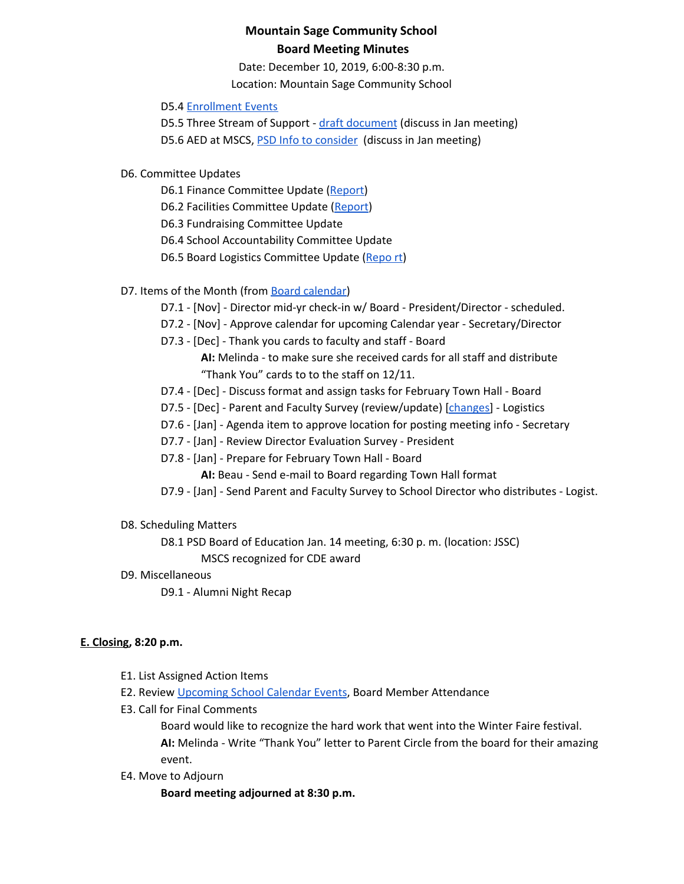Date: December 10, 2019, 6:00-8:30 p.m. Location: Mountain Sage Community School

#### D5.4 [Enrollment](https://www.mountainsage.org/) Events

D5.5 Three Stream of Support - draft [document](https://drive.google.com/file/d/0BwYnvoGpYgfKVEQyRDc1Nnd3bnVta2kxSmthYkhpZmppSXBr/view?usp=sharing) (discuss in Jan meeting) D5.6 AED at MSCS, **PSD Info to [consider](https://www.psdschools.org/schools/safety-and-emergencies/automated-external-defibrillator-program)** (discuss in Jan meeting)

- D6. Committee Updates
	- D6.1 Finance Committee Update ([Report](https://docs.google.com/document/d/1rsYNiz4YsHz33Y4erLSWEfQG8HnuehCHOF_Syxgn7fg/edit?usp=sharing))
	- D6.2 Facilities Committee Update [\(Report](https://docs.google.com/document/d/1HsP0qYbHq5NOI-_mlFAZw-ao4R9jG6ocL7aAyHc23-4/edit?usp=sharing))
	- D6.3 Fundraising Committee Update
	- D6.4 School Accountability Committee Update
	- D6.5 Board Logistics Committee Update ([Repo](https://docs.google.com/document/d/1U_VOvUp0nCl3Q5Hj5xmINUQfU_ahzeJFHhADQETB5oM)rt)

## D7. Items of the Month (from Board [calendar](https://docs.google.com/document/d/12S6s-qevYMsnj8Cr2yw6uMO7S7hL3gz2oKvXZk5ZndQ/edit?usp=sharing))

- D7.1 [Nov] Director mid-yr check-in w/ Board President/Director scheduled.
- D7.2 [Nov] Approve calendar for upcoming Calendar year Secretary/Director
- D7.3 [Dec] Thank you cards to faculty and staff Board

**AI:** Melinda - to make sure she received cards for all staff and distribute "Thank You" cards to to the staff on 12/11.

- D7.4 [Dec] Discuss format and assign tasks for February Town Hall Board
- D7.5 [Dec] Parent and Faculty Survey (review/update) [\[changes\]](https://docs.google.com/document/d/1iyLxyFU3synch9aDkYP7qKanJZlTUFXJHwr5PyqLBbY/edit?usp=sharing) Logistics
- D7.6 [Jan] Agenda item to approve location for posting meeting info Secretary
- D7.7 [Jan] Review Director Evaluation Survey President
- D7.8 [Jan] Prepare for February Town Hall Board
	- **AI:** Beau Send e-mail to Board regarding Town Hall format
- D7.9 [Jan] Send Parent and Faculty Survey to School Director who distributes Logist.
- D8. Scheduling Matters

D8.1 PSD Board of Education Jan. 14 meeting, 6:30 p. m. (location: JSSC) MSCS recognized for CDE award

D9. Miscellaneous

D9.1 - Alumni Night Recap

#### **E. Closing, 8:20 p.m.**

- E1. List Assigned Action Items
- E2. Review [Upcoming](https://www.mountainsage.org/calendar.html) School Calendar Events, Board Member Attendance
- E3. Call for Final Comments

Board would like to recognize the hard work that went into the Winter Faire festival. **AI:** Melinda - Write "Thank You" letter to Parent Circle from the board for their amazing

- event.
- E4. Move to Adjourn

**Board meeting adjourned at 8:30 p.m.**